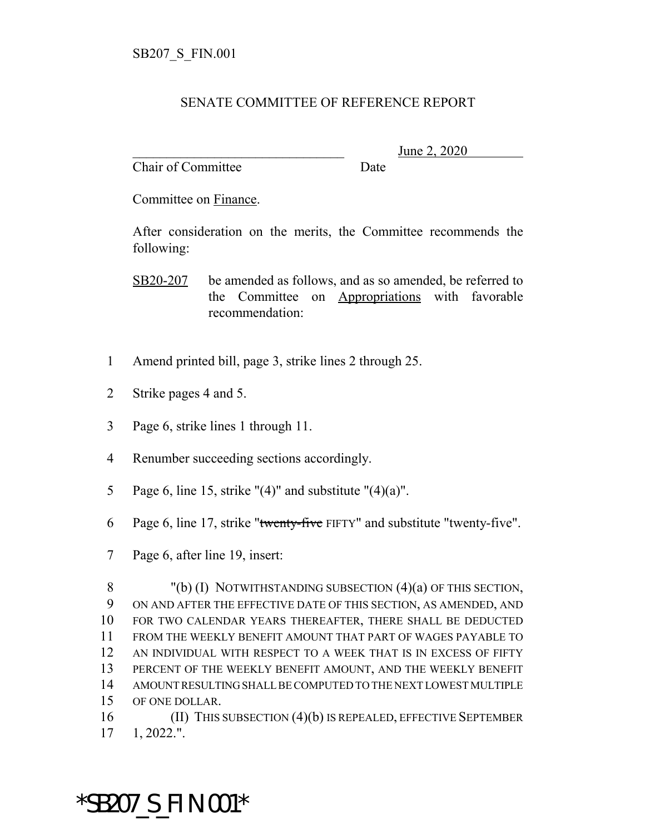## SENATE COMMITTEE OF REFERENCE REPORT

Chair of Committee Date

\_\_\_\_\_\_\_\_\_\_\_\_\_\_\_\_\_\_\_\_\_\_\_\_\_\_\_\_\_\_\_ June 2, 2020

Committee on Finance.

After consideration on the merits, the Committee recommends the following:

SB20-207 be amended as follows, and as so amended, be referred to the Committee on Appropriations with favorable recommendation:

- 1 Amend printed bill, page 3, strike lines 2 through 25.
- 2 Strike pages 4 and 5.
- 3 Page 6, strike lines 1 through 11.
- 4 Renumber succeeding sections accordingly.
- 5 Page 6, line 15, strike " $(4)$ " and substitute " $(4)(a)$ ".
- 6 Page 6, line 17, strike "twenty-five FIFTY" and substitute "twenty-five".
- 7 Page 6, after line 19, insert:

 "(b) (I) NOTWITHSTANDING SUBSECTION (4)(a) OF THIS SECTION, ON AND AFTER THE EFFECTIVE DATE OF THIS SECTION, AS AMENDED, AND FOR TWO CALENDAR YEARS THEREAFTER, THERE SHALL BE DEDUCTED FROM THE WEEKLY BENEFIT AMOUNT THAT PART OF WAGES PAYABLE TO AN INDIVIDUAL WITH RESPECT TO A WEEK THAT IS IN EXCESS OF FIFTY PERCENT OF THE WEEKLY BENEFIT AMOUNT, AND THE WEEKLY BENEFIT AMOUNT RESULTING SHALL BE COMPUTED TO THE NEXT LOWEST MULTIPLE OF ONE DOLLAR.

16 (II) THIS SUBSECTION (4)(b) IS REPEALED, EFFECTIVE SEPTEMBER 17 1, 2022.".

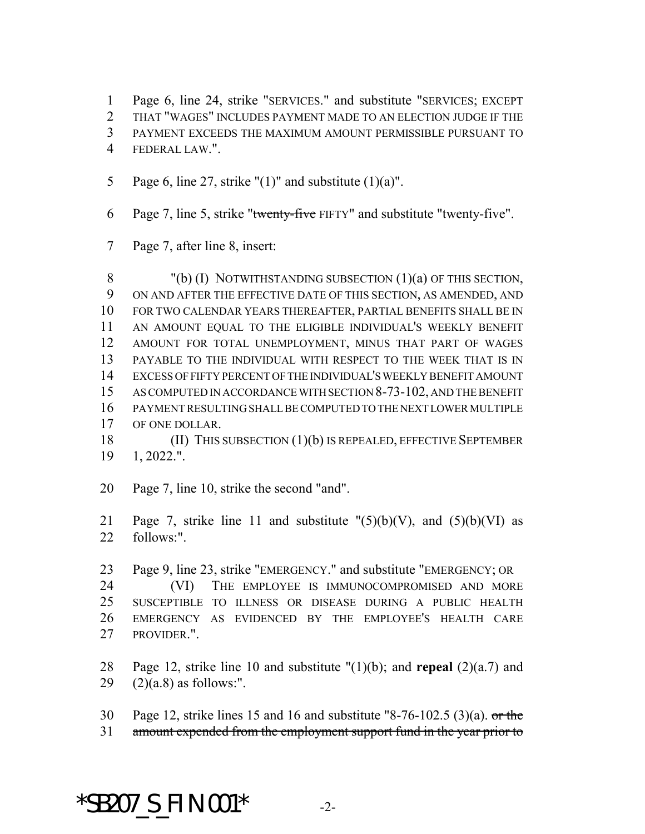Page 6, line 24, strike "SERVICES." and substitute "SERVICES; EXCEPT

THAT "WAGES" INCLUDES PAYMENT MADE TO AN ELECTION JUDGE IF THE

- PAYMENT EXCEEDS THE MAXIMUM AMOUNT PERMISSIBLE PURSUANT TO
- FEDERAL LAW.".
- 5 Page 6, line 27, strike " $(1)$ " and substitute  $(1)(a)$ ".
- Page 7, line 5, strike "twenty-five FIFTY" and substitute "twenty-five".
- Page 7, after line 8, insert:

 "(b) (I) NOTWITHSTANDING SUBSECTION (1)(a) OF THIS SECTION, ON AND AFTER THE EFFECTIVE DATE OF THIS SECTION, AS AMENDED, AND FOR TWO CALENDAR YEARS THEREAFTER, PARTIAL BENEFITS SHALL BE IN AN AMOUNT EQUAL TO THE ELIGIBLE INDIVIDUAL'S WEEKLY BENEFIT AMOUNT FOR TOTAL UNEMPLOYMENT, MINUS THAT PART OF WAGES PAYABLE TO THE INDIVIDUAL WITH RESPECT TO THE WEEK THAT IS IN EXCESS OF FIFTY PERCENT OF THE INDIVIDUAL'S WEEKLY BENEFIT AMOUNT AS COMPUTED IN ACCORDANCE WITH SECTION 8-73-102, AND THE BENEFIT PAYMENT RESULTING SHALL BE COMPUTED TO THE NEXT LOWER MULTIPLE OF ONE DOLLAR.

 (II) THIS SUBSECTION (1)(b) IS REPEALED, EFFECTIVE SEPTEMBER 1, 2022.".

- Page 7, line 10, strike the second "and".
- 21 Page 7, strike line 11 and substitute  $"(5)(b)(V)$ , and  $(5)(b)(VI)$  as follows:".
- Page 9, line 23, strike "EMERGENCY." and substitute "EMERGENCY; OR (VI) THE EMPLOYEE IS IMMUNOCOMPROMISED AND MORE SUSCEPTIBLE TO ILLNESS OR DISEASE DURING A PUBLIC HEALTH EMERGENCY AS EVIDENCED BY THE EMPLOYEE'S HEALTH CARE PROVIDER.".
- Page 12, strike line 10 and substitute "(1)(b); and **repeal** (2)(a.7) and 29  $(2)(a.8)$  as follows:".
- Page 12, strike lines 15 and 16 and substitute "8-76-102.5 (3)(a). or the amount expended from the employment support fund in the year prior to